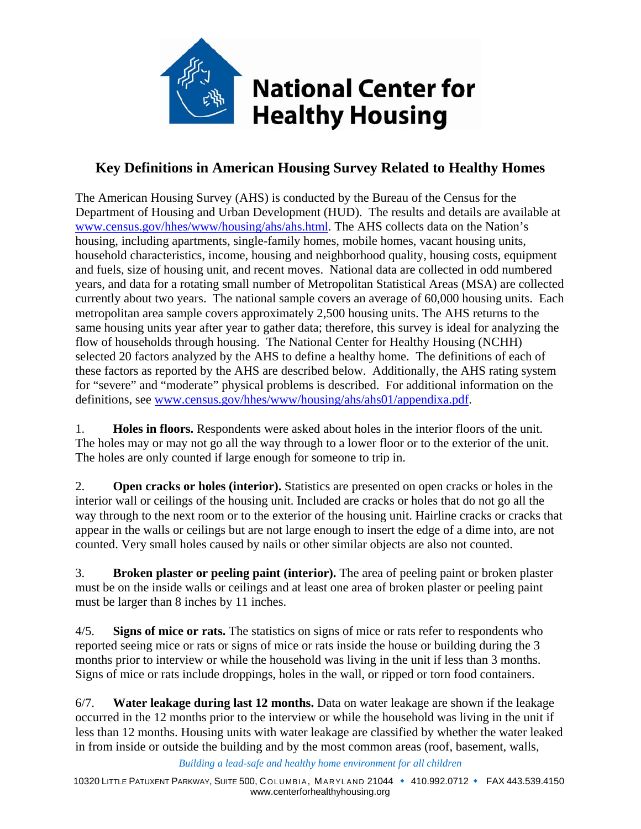

## **Key Definitions in American Housing Survey Related to Healthy Homes**

The American Housing Survey (AHS) is conducted by the Bureau of the Census for the Department of Housing and Urban Development (HUD). The results and details are available at www.census.gov/hhes/www/housing/ahs/ahs.html. The AHS collects data on the Nation's housing, including apartments, single-family homes, mobile homes, vacant housing units, household characteristics, income, housing and neighborhood quality, housing costs, equipment and fuels, size of housing unit, and recent moves. National data are collected in odd numbered years, and data for a rotating small number of Metropolitan Statistical Areas (MSA) are collected currently about two years. The national sample covers an average of 60,000 housing units. Each metropolitan area sample covers approximately 2,500 housing units. The AHS returns to the same housing units year after year to gather data; therefore, this survey is ideal for analyzing the flow of households through housing. The National Center for Healthy Housing (NCHH) selected 20 factors analyzed by the AHS to define a healthy home. The definitions of each of these factors as reported by the AHS are described below. Additionally, the AHS rating system for "severe" and "moderate" physical problems is described. For additional information on the definitions, see www.census.gov/hhes/www/housing/ahs/ahs01/appendixa.pdf.

1. **Holes in floors.** Respondents were asked about holes in the interior floors of the unit. The holes may or may not go all the way through to a lower floor or to the exterior of the unit. The holes are only counted if large enough for someone to trip in.

2. **Open cracks or holes (interior).** Statistics are presented on open cracks or holes in the interior wall or ceilings of the housing unit. Included are cracks or holes that do not go all the way through to the next room or to the exterior of the housing unit. Hairline cracks or cracks that appear in the walls or ceilings but are not large enough to insert the edge of a dime into, are not counted. Very small holes caused by nails or other similar objects are also not counted.

3. **Broken plaster or peeling paint (interior).** The area of peeling paint or broken plaster must be on the inside walls or ceilings and at least one area of broken plaster or peeling paint must be larger than 8 inches by 11 inches.

4/5. **Signs of mice or rats.** The statistics on signs of mice or rats refer to respondents who reported seeing mice or rats or signs of mice or rats inside the house or building during the 3 months prior to interview or while the household was living in the unit if less than 3 months. Signs of mice or rats include droppings, holes in the wall, or ripped or torn food containers.

6/7. **Water leakage during last 12 months.** Data on water leakage are shown if the leakage occurred in the 12 months prior to the interview or while the household was living in the unit if less than 12 months. Housing units with water leakage are classified by whether the water leaked in from inside or outside the building and by the most common areas (roof, basement, walls,

*Building a lead-safe and healthy home environment for all children*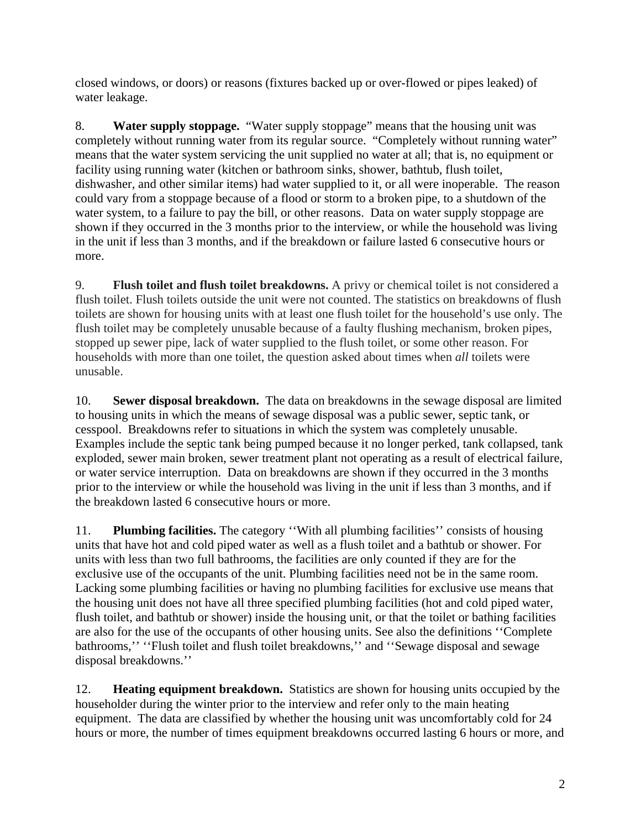closed windows, or doors) or reasons (fixtures backed up or over-flowed or pipes leaked) of water leakage.

8. **Water supply stoppage.** "Water supply stoppage" means that the housing unit was completely without running water from its regular source. "Completely without running water" means that the water system servicing the unit supplied no water at all; that is, no equipment or facility using running water (kitchen or bathroom sinks, shower, bathtub, flush toilet, dishwasher, and other similar items) had water supplied to it, or all were inoperable. The reason could vary from a stoppage because of a flood or storm to a broken pipe, to a shutdown of the water system, to a failure to pay the bill, or other reasons. Data on water supply stoppage are shown if they occurred in the 3 months prior to the interview, or while the household was living in the unit if less than 3 months, and if the breakdown or failure lasted 6 consecutive hours or more.

9. **Flush toilet and flush toilet breakdowns.** A privy or chemical toilet is not considered a flush toilet. Flush toilets outside the unit were not counted. The statistics on breakdowns of flush toilets are shown for housing units with at least one flush toilet for the household's use only. The flush toilet may be completely unusable because of a faulty flushing mechanism, broken pipes, stopped up sewer pipe, lack of water supplied to the flush toilet, or some other reason. For households with more than one toilet, the question asked about times when *all* toilets were unusable.

10. **Sewer disposal breakdown.** The data on breakdowns in the sewage disposal are limited to housing units in which the means of sewage disposal was a public sewer, septic tank, or cesspool. Breakdowns refer to situations in which the system was completely unusable. Examples include the septic tank being pumped because it no longer perked, tank collapsed, tank exploded, sewer main broken, sewer treatment plant not operating as a result of electrical failure, or water service interruption. Data on breakdowns are shown if they occurred in the 3 months prior to the interview or while the household was living in the unit if less than 3 months, and if the breakdown lasted 6 consecutive hours or more.

11. **Plumbing facilities.** The category ''With all plumbing facilities'' consists of housing units that have hot and cold piped water as well as a flush toilet and a bathtub or shower. For units with less than two full bathrooms, the facilities are only counted if they are for the exclusive use of the occupants of the unit. Plumbing facilities need not be in the same room. Lacking some plumbing facilities or having no plumbing facilities for exclusive use means that the housing unit does not have all three specified plumbing facilities (hot and cold piped water, flush toilet, and bathtub or shower) inside the housing unit, or that the toilet or bathing facilities are also for the use of the occupants of other housing units. See also the definitions ''Complete bathrooms,'' ''Flush toilet and flush toilet breakdowns,'' and ''Sewage disposal and sewage disposal breakdowns.''

12. **Heating equipment breakdown.** Statistics are shown for housing units occupied by the householder during the winter prior to the interview and refer only to the main heating equipment. The data are classified by whether the housing unit was uncomfortably cold for 24 hours or more, the number of times equipment breakdowns occurred lasting 6 hours or more, and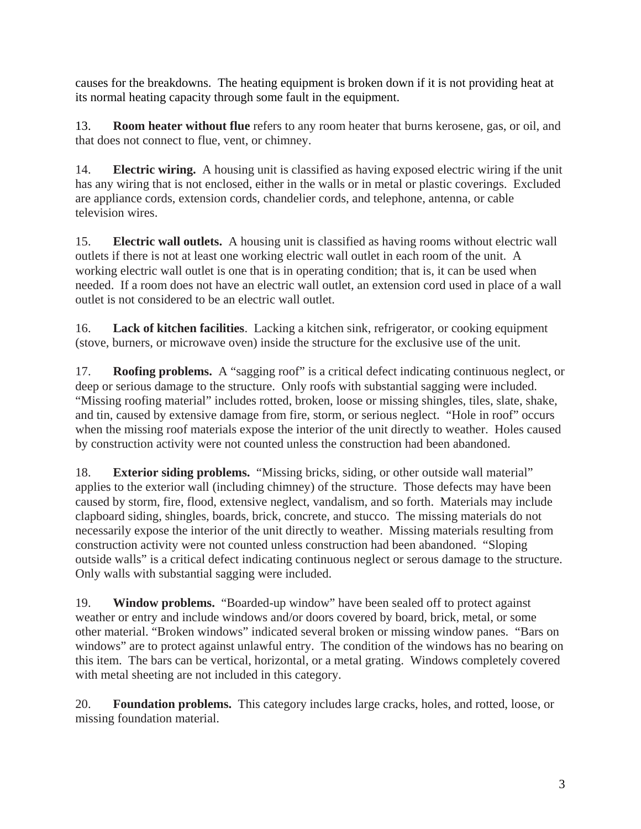causes for the breakdowns. The heating equipment is broken down if it is not providing heat at its normal heating capacity through some fault in the equipment.

13. **Room heater without flue** refers to any room heater that burns kerosene, gas, or oil, and that does not connect to flue, vent, or chimney.

14. **Electric wiring.** A housing unit is classified as having exposed electric wiring if the unit has any wiring that is not enclosed, either in the walls or in metal or plastic coverings. Excluded are appliance cords, extension cords, chandelier cords, and telephone, antenna, or cable television wires.

15. **Electric wall outlets.** A housing unit is classified as having rooms without electric wall outlets if there is not at least one working electric wall outlet in each room of the unit. A working electric wall outlet is one that is in operating condition; that is, it can be used when needed. If a room does not have an electric wall outlet, an extension cord used in place of a wall outlet is not considered to be an electric wall outlet.

16. **Lack of kitchen facilities**. Lacking a kitchen sink, refrigerator, or cooking equipment (stove, burners, or microwave oven) inside the structure for the exclusive use of the unit.

17. **Roofing problems.** A "sagging roof" is a critical defect indicating continuous neglect, or deep or serious damage to the structure. Only roofs with substantial sagging were included. "Missing roofing material" includes rotted, broken, loose or missing shingles, tiles, slate, shake, and tin, caused by extensive damage from fire, storm, or serious neglect. "Hole in roof" occurs when the missing roof materials expose the interior of the unit directly to weather. Holes caused by construction activity were not counted unless the construction had been abandoned.

18. **Exterior siding problems.** "Missing bricks, siding, or other outside wall material" applies to the exterior wall (including chimney) of the structure. Those defects may have been caused by storm, fire, flood, extensive neglect, vandalism, and so forth. Materials may include clapboard siding, shingles, boards, brick, concrete, and stucco. The missing materials do not necessarily expose the interior of the unit directly to weather. Missing materials resulting from construction activity were not counted unless construction had been abandoned. "Sloping outside walls" is a critical defect indicating continuous neglect or serous damage to the structure. Only walls with substantial sagging were included.

19. **Window problems.** "Boarded-up window" have been sealed off to protect against weather or entry and include windows and/or doors covered by board, brick, metal, or some other material. "Broken windows" indicated several broken or missing window panes. "Bars on windows" are to protect against unlawful entry. The condition of the windows has no bearing on this item. The bars can be vertical, horizontal, or a metal grating. Windows completely covered with metal sheeting are not included in this category.

20. **Foundation problems.** This category includes large cracks, holes, and rotted, loose, or missing foundation material.